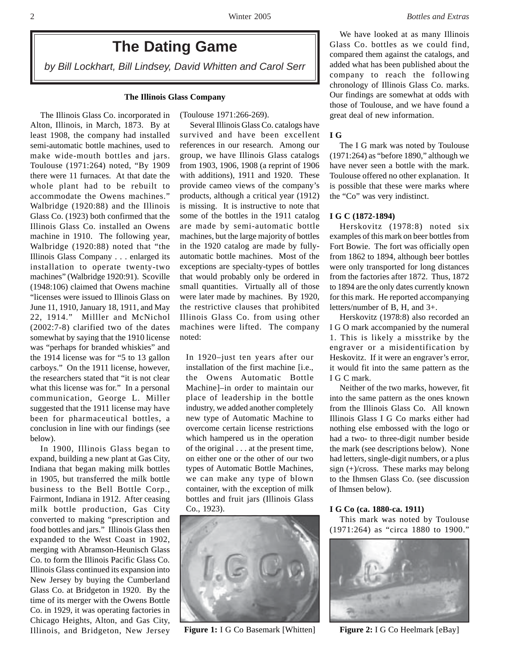# **The Dating Game**

*by Bill Lockhart, Bill Lindsey, David Whitten and Carol Serr*

#### **The Illinois Glass Company**

(Toulouse 1971:266-269).

The Illinois Glass Co. incorporated in Alton, Illinois, in March, 1873. By at least 1908, the company had installed semi-automatic bottle machines, used to make wide-mouth bottles and jars. Toulouse (1971:264) noted, "By 1909 there were 11 furnaces. At that date the whole plant had to be rebuilt to accommodate the Owens machines." Walbridge (1920:88) and the Illinois Glass Co. (1923) both confirmed that the Illinois Glass Co. installed an Owens machine in 1910. The following year, Walbridge (1920:88) noted that "the Illinois Glass Company . . . enlarged its installation to operate twenty-two machines" (Walbridge 1920:91). Scoville (1948:106) claimed that Owens machine "licenses were issued to Illinois Glass on June 11, 1910, January 18, 1911, and May 22, 1914." Milller and McNichol (2002:7-8) clarified two of the dates somewhat by saying that the 1910 license was "perhaps for branded whiskies" and the 1914 license was for "5 to 13 gallon carboys." On the 1911 license, however, the researchers stated that "it is not clear what this license was for." In a personal communication, George L. Miller suggested that the 1911 license may have been for pharmaceutical bottles, a conclusion in line with our findings (see below).

In 1900, Illinois Glass began to expand, building a new plant at Gas City, Indiana that began making milk bottles in 1905, but transferred the milk bottle business to the Bell Bottle Corp., Fairmont, Indiana in 1912. After ceasing milk bottle production, Gas City converted to making "prescription and food bottles and jars." Illinois Glass then expanded to the West Coast in 1902, merging with Abramson-Heunisch Glass Co. to form the Illinois Pacific Glass Co. Illinois Glass continued its expansion into New Jersey by buying the Cumberland Glass Co. at Bridgeton in 1920. By the time of its merger with the Owens Bottle Co. in 1929, it was operating factories in Chicago Heights, Alton, and Gas City, Illinois, and Bridgeton, New Jersey

Several Illinois Glass Co. catalogs have survived and have been excellent references in our research. Among our group, we have Illinois Glass catalogs from 1903, 1906, 1908 (a reprint of 1906 with additions), 1911 and 1920. These provide cameo views of the company's products, although a critical year (1912) is missing. It is instructive to note that some of the bottles in the 1911 catalog are made by semi-automatic bottle machines, but the large majority of bottles in the 1920 catalog are made by fullyautomatic bottle machines. Most of the exceptions are specialty-types of bottles that would probably only be ordered in small quantities. Virtually all of those were later made by machines. By 1920, the restrictive clauses that prohibited Illinois Glass Co. from using other machines were lifted. The company noted:

In 1920–just ten years after our installation of the first machine [i.e., the Owens Automatic Bottle Machine]–in order to maintain our place of leadership in the bottle industry, we added another completely new type of Automatic Machine to overcome certain license restrictions which hampered us in the operation of the original . . . at the present time, on either one or the other of our two types of Automatic Bottle Machines, we can make any type of blown container, with the exception of milk bottles and fruit jars (Illinois Glass Co., 1923).



**Figure 1:** I G Co Basemark [Whitten] **Figure 2:** I G Co Heelmark [eBay]

We have looked at as many Illinois Glass Co. bottles as we could find, compared them against the catalogs, and added what has been published about the company to reach the following chronology of Illinois Glass Co. marks. Our findings are somewhat at odds with those of Toulouse, and we have found a great deal of new information.

#### **I G**

The I G mark was noted by Toulouse (1971:264) as "before 1890," although we have never seen a bottle with the mark. Toulouse offered no other explanation. It is possible that these were marks where the "Co" was very indistinct.

## **I G C (1872-1894)**

Herskovitz (1978:8) noted six examples of this mark on beer bottles from Fort Bowie. The fort was officially open from 1862 to 1894, although beer bottles were only transported for long distances from the factories after 1872. Thus, 1872 to 1894 are the only dates currently known for this mark. He reported accompanying letters/number of B, H, and 3+.

Herskovitz (1978:8) also recorded an I G O mark accompanied by the numeral 1. This is likely a misstrike by the engraver or a misidentification by Heskovitz. If it were an engraver's error, it would fit into the same pattern as the I G C mark.

Neither of the two marks, however, fit into the same pattern as the ones known from the Illinois Glass Co. All known Illinois Glass I G Co marks either had nothing else embossed with the logo or had a two- to three-digit number beside the mark (see descriptions below). None had letters, single-digit numbers, or a plus sign (+)/cross. These marks may belong to the Ihmsen Glass Co. (see discussion of Ihmsen below).

#### **I G Co (ca. 1880-ca. 1911)**

This mark was noted by Toulouse (1971:264) as "circa 1880 to 1900."

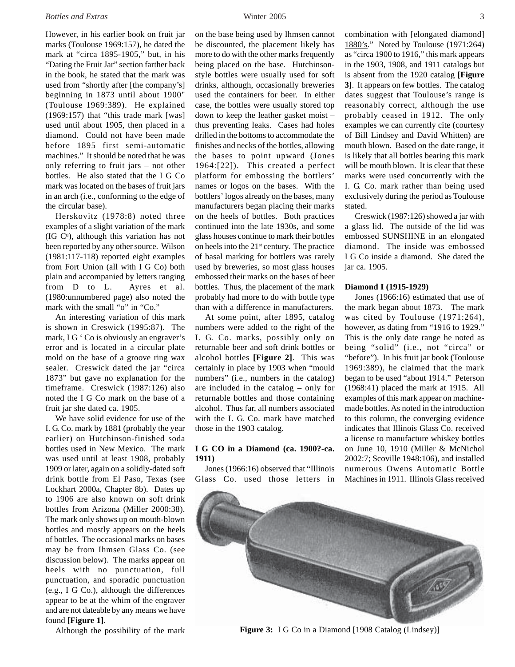## *Bottles and Extras* Winter 2005 3

However, in his earlier book on fruit jar marks (Toulouse 1969:157), he dated the mark at "circa 1895-1905," but, in his "Dating the Fruit Jar" section farther back in the book, he stated that the mark was used from "shortly after [the company's] beginning in 1873 until about 1900" (Toulouse 1969:389). He explained (1969:157) that "this trade mark [was] used until about 1905, then placed in a diamond. Could not have been made before 1895 first semi-automatic machines." It should be noted that he was only referring to fruit jars – not other bottles. He also stated that the I G Co mark was located on the bases of fruit jars in an arch (i.e., conforming to the edge of the circular base).

Herskovitz (1978:8) noted three examples of a slight variation of the mark (IG  $C<sup>o</sup>$ ), although this variation has not been reported by any other source. Wilson (1981:117-118) reported eight examples from Fort Union (all with I G Co) both plain and accompanied by letters ranging from D to L. Ayres et al. (1980:unnumbered page) also noted the mark with the small "o" in "Co."

An interesting variation of this mark is shown in Creswick (1995:87). The mark, I G ' Co is obviously an engraver's error and is located in a circular plate mold on the base of a groove ring wax sealer. Creswick dated the jar "circa 1873" but gave no explanation for the timeframe. Creswick (1987:126) also noted the I G Co mark on the base of a fruit jar she dated ca. 1905.

We have solid evidence for use of the I. G. Co. mark by 1881 (probably the year earlier) on Hutchinson-finished soda bottles used in New Mexico. The mark was used until at least 1908, probably 1909 or later, again on a solidly-dated soft drink bottle from El Paso, Texas (see Lockhart 2000a, Chapter 8b). Dates up to 1906 are also known on soft drink bottles from Arizona (Miller 2000:38). The mark only shows up on mouth-blown bottles and mostly appears on the heels of bottles. The occasional marks on bases may be from Ihmsen Glass Co. (see discussion below). The marks appear on heels with no punctuation, full punctuation, and sporadic punctuation (e.g., I G Co.), although the differences appear to be at the whim of the engraver and are not dateable by any means we have found **[Figure 1]**.

Although the possibility of the mark

on the base being used by Ihmsen cannot be discounted, the placement likely has more to do with the other marks frequently being placed on the base. Hutchinsonstyle bottles were usually used for soft drinks, although, occasionally breweries used the containers for beer. In either case, the bottles were usually stored top down to keep the leather gasket moist – thus preventing leaks. Cases had holes drilled in the bottoms to accommodate the finishes and necks of the bottles, allowing the bases to point upward (Jones 1964:[22]). This created a perfect platform for embossing the bottlers' names or logos on the bases. With the bottlers' logos already on the bases, many manufacturers began placing their marks on the heels of bottles. Both practices continued into the late 1930s, and some glass houses continue to mark their bottles on heels into the  $21<sup>st</sup>$  century. The practice of basal marking for bottlers was rarely used by breweries, so most glass houses embossed their marks on the bases of beer bottles. Thus, the placement of the mark probably had more to do with bottle type than with a difference in manufacturers.

At some point, after 1895, catalog numbers were added to the right of the I. G. Co. marks, possibly only on returnable beer and soft drink bottles or alcohol bottles **[Figure 2]**. This was certainly in place by 1903 when "mould numbers" (i.e., numbers in the catalog) are included in the catalog – only for returnable bottles and those containing alcohol. Thus far, all numbers associated with the I. G. Co. mark have matched those in the 1903 catalog.

# **I G CO in a Diamond (ca. 1900?-ca. 1911)**

Jones (1966:16) observed that "Illinois Glass Co. used those letters in

combination with [elongated diamond] 1880's." Noted by Toulouse (1971:264) as "circa 1900 to 1916," this mark appears in the 1903, 1908, and 1911 catalogs but is absent from the 1920 catalog **[Figure 3]**. It appears on few bottles. The catalog dates suggest that Toulouse's range is reasonably correct, although the use probably ceased in 1912. The only examples we can currently cite (courtesy of Bill Lindsey and David Whitten) are mouth blown. Based on the date range, it is likely that all bottles bearing this mark will be mouth blown. It is clear that these marks were used concurrently with the I. G. Co. mark rather than being used exclusively during the period as Toulouse stated.

Creswick (1987:126) showed a jar with a glass lid. The outside of the lid was embossed SUNSHINE in an elongated diamond. The inside was embossed I G Co inside a diamond. She dated the jar ca. 1905.

## **Diamond I (1915-1929)**

Jones (1966:16) estimated that use of the mark began about 1873. The mark was cited by Toulouse (1971:264), however, as dating from "1916 to 1929." This is the only date range he noted as being "solid" (i.e., not "circa" or "before"). In his fruit jar book (Toulouse 1969:389), he claimed that the mark began to be used "about 1914." Peterson (1968:41) placed the mark at 1915. All examples of this mark appear on machinemade bottles. As noted in the introduction to this column, the converging evidence indicates that Illinois Glass Co. received a license to manufacture whiskey bottles on June 10, 1910 (Miller & McNichol 2002:7; Scoville 1948:106), and installed numerous Owens Automatic Bottle Machines in 1911. Illinois Glass received

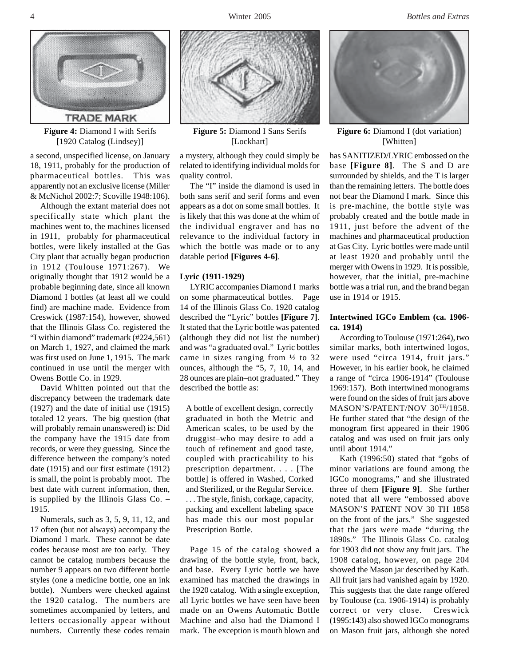

**Figure 4:** Diamond I with Serifs [1920 Catalog (Lindsey)]

a second, unspecified license, on January 18, 1911, probably for the production of pharmaceutical bottles. This was apparently not an exclusive license (Miller & McNichol 2002:7; Scoville 1948:106).

Although the extant material does not specifically state which plant the machines went to, the machines licensed in 1911, probably for pharmaceutical bottles, were likely installed at the Gas City plant that actually began production in 1912 (Toulouse 1971:267). We originally thought that 1912 would be a probable beginning date, since all known Diamond I bottles (at least all we could find) are machine made. Evidence from Creswick (1987:154), however, showed that the Illinois Glass Co. registered the "I within diamond" trademark (#224,561) on March 1, 1927, and claimed the mark was first used on June 1, 1915. The mark continued in use until the merger with Owens Bottle Co. in 1929.

David Whitten pointed out that the discrepancy between the trademark date (1927) and the date of initial use (1915) totaled 12 years. The big question (that will probably remain unanswered) is: Did the company have the 1915 date from records, or were they guessing. Since the difference between the company's noted date (1915) and our first estimate (1912) is small, the point is probably moot. The best date with current information, then, is supplied by the Illinois Glass Co. – 1915.

Numerals, such as 3, 5, 9, 11, 12, and 17 often (but not always) accompany the Diamond I mark. These cannot be date codes because most are too early. They cannot be catalog numbers because the number 9 appears on two different bottle styles (one a medicine bottle, one an ink bottle). Numbers were checked against the 1920 catalog. The numbers are sometimes accompanied by letters, and letters occasionally appear without numbers. Currently these codes remain



**Figure 5:** Diamond I Sans Serifs [Lockhart]

a mystery, although they could simply be related to identifying individual molds for quality control.

The "I" inside the diamond is used in both sans serif and serif forms and even appears as a dot on some small bottles. It is likely that this was done at the whim of the individual engraver and has no relevance to the individual factory in which the bottle was made or to any datable period **[Figures 4-6]**.

## **Lyric (1911-1929)**

LYRIC accompanies Diamond I marks on some pharmaceutical bottles. Page 14 of the Illinois Glass Co. 1920 catalog described the "Lyric" bottles **[Figure 7]**. It stated that the Lyric bottle was patented (although they did not list the number) and was "a graduated oval." Lyric bottles came in sizes ranging from ½ to 32 ounces, although the "5, 7, 10, 14, and 28 ounces are plain–not graduated." They described the bottle as:

A bottle of excellent design, correctly graduated in both the Metric and American scales, to be used by the druggist–who may desire to add a touch of refinement and good taste, coupled with practicability to his prescription department. . . . [The bottle] is offered in Washed, Corked and Sterilized, or the Regular Service. . . . The style, finish, corkage, capacity, packing and excellent labeling space has made this our most popular Prescription Bottle.

Page 15 of the catalog showed a drawing of the bottle style, front, back, and base. Every Lyric bottle we have examined has matched the drawings in the 1920 catalog. With a single exception, all Lyric bottles we have seen have been made on an Owens Automatic Bottle Machine and also had the Diamond I mark. The exception is mouth blown and



**Figure 6:** Diamond I (dot variation) [Whitten]

has SANITIZED/LYRIC embossed on the base **[Figure 8]**. The S and D are surrounded by shields, and the T is larger than the remaining letters. The bottle does not bear the Diamond I mark. Since this is pre-machine, the bottle style was probably created and the bottle made in 1911, just before the advent of the machines and pharmaceutical production at Gas City. Lyric bottles were made until at least 1920 and probably until the merger with Owens in 1929. It is possible, however, that the initial, pre-machine bottle was a trial run, and the brand began use in 1914 or 1915.

# **Intertwined IGCo Emblem (ca. 1906 ca. 1914)**

According to Toulouse (1971:264), two similar marks, both intertwined logos, were used "circa 1914, fruit jars." However, in his earlier book, he claimed a range of "circa 1906-1914" (Toulouse 1969:157). Both intertwined monograms were found on the sides of fruit jars above MASON'S/PATENT/NOV 30TH/1858. He further stated that "the design of the monogram first appeared in their 1906 catalog and was used on fruit jars only until about 1914."

Kath (1996:50) stated that "gobs of minor variations are found among the IGCo monograms," and she illustrated three of them **[Figure 9]**. She further noted that all were "embossed above MASON'S PATENT NOV 30 TH 1858 on the front of the jars." She suggested that the jars were made "during the 1890s." The Illinois Glass Co. catalog for 1903 did not show any fruit jars. The 1908 catalog, however, on page 204 showed the Mason jar described by Kath. All fruit jars had vanished again by 1920. This suggests that the date range offered by Toulouse (ca. 1906-1914) is probably correct or very close. Creswick (1995:143) also showed IGCo monograms on Mason fruit jars, although she noted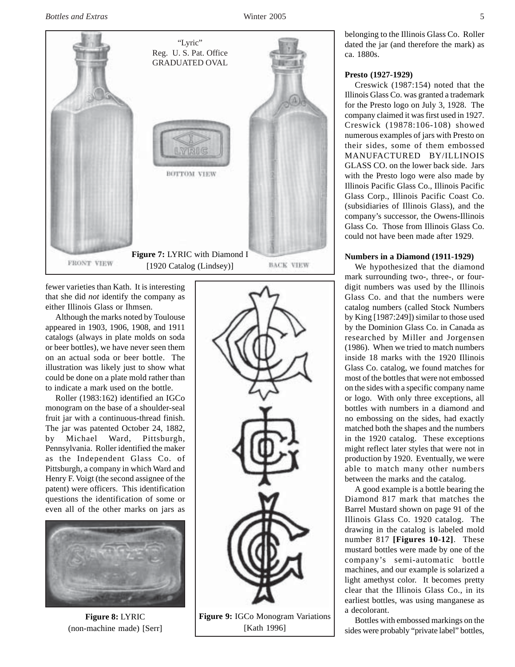

fewer varieties than Kath. It is interesting that she did *not* identify the company as either Illinois Glass or Ihmsen.

Although the marks noted by Toulouse appeared in 1903, 1906, 1908, and 1911 catalogs (always in plate molds on soda or beer bottles), we have never seen them on an actual soda or beer bottle. The illustration was likely just to show what could be done on a plate mold rather than to indicate a mark used on the bottle.

Roller (1983:162) identified an IGCo monogram on the base of a shoulder-seal fruit jar with a continuous-thread finish. The jar was patented October 24, 1882, by Michael Ward, Pittsburgh, Pennsylvania. Roller identified the maker as the Independent Glass Co. of Pittsburgh, a company in which Ward and Henry F. Voigt (the second assignee of the patent) were officers. This identification questions the identification of some or even all of the other marks on jars as



**Figure 8:** LYRIC (non-machine made) [Serr]



[Kath 1996]

belonging to the Illinois Glass Co. Roller dated the jar (and therefore the mark) as ca. 1880s.

# **Presto (1927-1929)**

Creswick (1987:154) noted that the Illinois Glass Co. was granted a trademark for the Presto logo on July 3, 1928. The company claimed it was first used in 1927. Creswick (19878:106-108) showed numerous examples of jars with Presto on their sides, some of them embossed MANUFACTURED BY/ILLINOIS GLASS CO. on the lower back side. Jars with the Presto logo were also made by Illinois Pacific Glass Co., Illinois Pacific Glass Corp., Illinois Pacific Coast Co. (subsidiaries of Illinois Glass), and the company's successor, the Owens-Illinois Glass Co. Those from Illinois Glass Co. could not have been made after 1929.

# **Numbers in a Diamond (1911-1929)**

We hypothesized that the diamond mark surrounding two-, three-, or fourdigit numbers was used by the Illinois Glass Co. and that the numbers were catalog numbers (called Stock Numbers by King [1987:249]) similar to those used by the Dominion Glass Co. in Canada as researched by Miller and Jorgensen (1986). When we tried to match numbers inside 18 marks with the 1920 Illinois Glass Co. catalog, we found matches for most of the bottles that were not embossed on the sides with a specific company name or logo. With only three exceptions, all bottles with numbers in a diamond and no embossing on the sides, had exactly matched both the shapes and the numbers in the 1920 catalog. These exceptions might reflect later styles that were not in production by 1920. Eventually, we were able to match many other numbers between the marks and the catalog.

A good example is a bottle bearing the Diamond 817 mark that matches the Barrel Mustard shown on page 91 of the Illinois Glass Co. 1920 catalog. The drawing in the catalog is labeled mold number 817 **[Figures 10-12]**. These mustard bottles were made by one of the company's semi-automatic bottle machines, and our example is solarized a light amethyst color. It becomes pretty clear that the Illinois Glass Co., in its earliest bottles, was using manganese as a decolorant.

Bottles with embossed markings on the sides were probably "private label" bottles,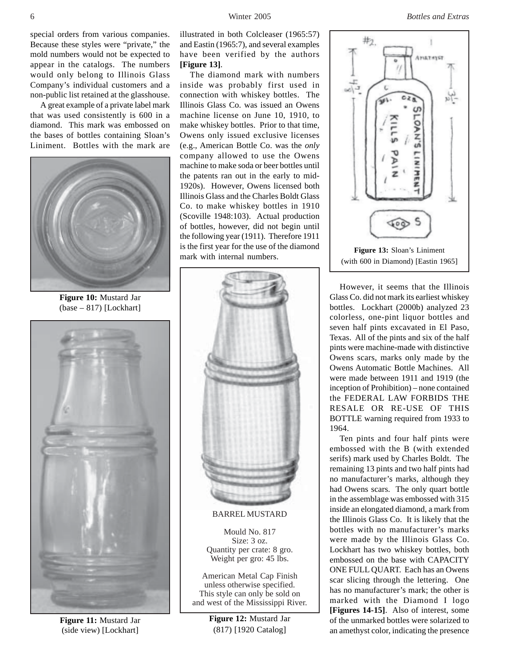special orders from various companies. Because these styles were "private," the mold numbers would not be expected to appear in the catalogs. The numbers would only belong to Illinois Glass Company's individual customers and a non-public list retained at the glasshouse.

A great example of a private label mark that was used consistently is 600 in a diamond. This mark was embossed on the bases of bottles containing Sloan's Liniment. Bottles with the mark are



**Figure 10:** Mustard Jar (base – 817) [Lockhart]



**Figure 11:** Mustard Jar (side view) [Lockhart]

illustrated in both Colcleaser (1965:57) and Eastin (1965:7), and several examples have been verified by the authors **[Figure 13]**.

The diamond mark with numbers inside was probably first used in connection with whiskey bottles. The Illinois Glass Co. was issued an Owens machine license on June 10, 1910, to make whiskey bottles. Prior to that time, Owens only issued exclusive licenses (e.g., American Bottle Co. was the *only* company allowed to use the Owens machine to make soda or beer bottles until the patents ran out in the early to mid-1920s). However, Owens licensed both Illinois Glass and the Charles Boldt Glass Co. to make whiskey bottles in 1910 (Scoville 1948:103). Actual production of bottles, however, did not begin until the following year (1911). Therefore 1911 is the first year for the use of the diamond **Figure 13:** Sloan's Liniment<br>mark with internal numbers.



BARREL MUSTARD

Mould No. 817 Size: 3 oz. Quantity per crate: 8 gro. Weight per gro: 45 lbs.

American Metal Cap Finish unless otherwise specified. This style can only be sold on and west of the Mississippi River.

**Figure 12:** Mustard Jar (817) [1920 Catalog]



However, it seems that the Illinois Glass Co. did not mark its earliest whiskey bottles. Lockhart (2000b) analyzed 23 colorless, one-pint liquor bottles and seven half pints excavated in El Paso, Texas. All of the pints and six of the half pints were machine-made with distinctive Owens scars, marks only made by the Owens Automatic Bottle Machines. All were made between 1911 and 1919 (the inception of Prohibition) – none contained the FEDERAL LAW FORBIDS THE RESALE OR RE-USE OF THIS BOTTLE warning required from 1933 to 1964.

Ten pints and four half pints were embossed with the B (with extended serifs) mark used by Charles Boldt. The remaining 13 pints and two half pints had no manufacturer's marks, although they had Owens scars. The only quart bottle in the assemblage was embossed with 315 inside an elongated diamond, a mark from the Illinois Glass Co. It is likely that the bottles with no manufacturer's marks were made by the Illinois Glass Co. Lockhart has two whiskey bottles, both embossed on the base with CAPACITY ONE FULL QUART. Each has an Owens scar slicing through the lettering. One has no manufacturer's mark; the other is marked with the Diamond I logo **[Figures 14-15]**. Also of interest, some of the unmarked bottles were solarized to an amethyst color, indicating the presence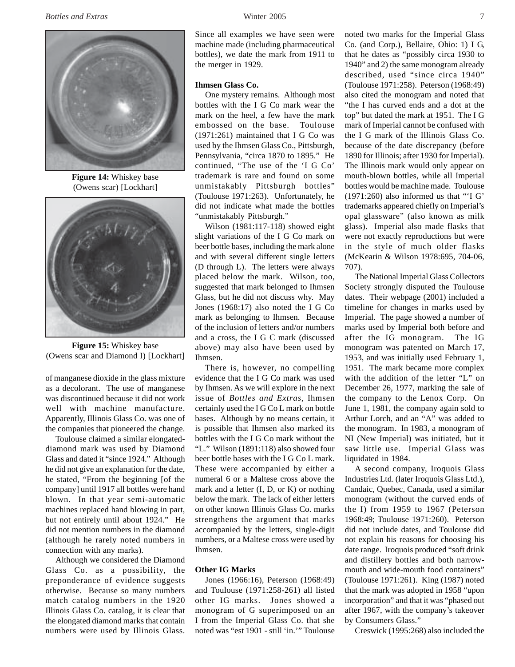

**Figure 14:** Whiskey base (Owens scar) [Lockhart]



**Figure 15:** Whiskey base (Owens scar and Diamond I) [Lockhart]

of manganese dioxide in the glass mixture as a decolorant. The use of manganese was discontinued because it did not work well with machine manufacture. Apparently, Illinois Glass Co. was one of the companies that pioneered the change.

Toulouse claimed a similar elongateddiamond mark was used by Diamond Glass and dated it "since 1924." Although he did not give an explanation for the date, he stated, "From the beginning [of the company] until 1917 all bottles were hand blown. In that year semi-automatic machines replaced hand blowing in part, but not entirely until about 1924." He did not mention numbers in the diamond (although he rarely noted numbers in connection with any marks).

Although we considered the Diamond Glass Co. as a possibility, the preponderance of evidence suggests otherwise. Because so many numbers match catalog numbers in the 1920 Illinois Glass Co. catalog, it is clear that the elongated diamond marks that contain numbers were used by Illinois Glass. Since all examples we have seen were machine made (including pharmaceutical bottles), we date the mark from 1911 to the merger in 1929.

## **Ihmsen Glass Co.**

One mystery remains. Although most bottles with the I G Co mark wear the mark on the heel, a few have the mark embossed on the base. Toulouse (1971:261) maintained that I G Co was used by the Ihmsen Glass Co., Pittsburgh, Pennsylvania, "circa 1870 to 1895." He continued, "The use of the 'I G Co' trademark is rare and found on some unmistakably Pittsburgh bottles" (Toulouse 1971:263). Unfortunately, he did not indicate what made the bottles "unmistakably Pittsburgh."

Wilson (1981:117-118) showed eight slight variations of the I G Co mark on beer bottle bases, including the mark alone and with several different single letters (D through L). The letters were always placed below the mark. Wilson, too, suggested that mark belonged to Ihmsen Glass, but he did not discuss why. May Jones (1968:17) also noted the I G Co mark as belonging to Ihmsen. Because of the inclusion of letters and/or numbers and a cross, the I G C mark (discussed above) may also have been used by Ihmsen.

There is, however, no compelling evidence that the I G Co mark was used by Ihmsen. As we will explore in the next issue of *Bottles and Extras*, Ihmsen certainly used the I G Co L mark on bottle bases. Although by no means certain, it is possible that Ihmsen also marked its bottles with the I G Co mark without the "L." Wilson (1891:118) also showed four beer bottle bases with the I G Co L mark. These were accompanied by either a numeral 6 or a Maltese cross above the mark and a letter (I, D, or K) or nothing below the mark. The lack of either letters on other known Illinois Glass Co. marks strengthens the argument that marks accompanied by the letters, single-digit numbers, or a Maltese cross were used by Ihmsen.

## **Other IG Marks**

Jones (1966:16), Peterson (1968:49) and Toulouse (1971:258-261) all listed other IG marks. Jones showed a monogram of G superimposed on an I from the Imperial Glass Co. that she noted was "est 1901 - still 'in.'" Toulouse noted two marks for the Imperial Glass Co. (and Corp.), Bellaire, Ohio: 1) I G, that he dates as "possibly circa 1930 to 1940" and 2) the same monogram already described, used "since circa 1940" (Toulouse 1971:258). Peterson (1968:49) also cited the monogram and noted that "the I has curved ends and a dot at the top" but dated the mark at 1951. The I G mark of Imperial cannot be confused with the I G mark of the Illinois Glass Co. because of the date discrepancy (before 1890 for Illinois; after 1930 for Imperial). The Illinois mark would only appear on mouth-blown bottles, while all Imperial bottles would be machine made. Toulouse (1971:260) also informed us that "'I G' trademarks appeared chiefly on Imperial's opal glassware" (also known as milk glass). Imperial also made flasks that were not exactly reproductions but were in the style of much older flasks (McKearin & Wilson 1978:695, 704-06, 707).

The National Imperial Glass Collectors Society strongly disputed the Toulouse dates. Their webpage (2001) included a timeline for changes in marks used by Imperial. The page showed a number of marks used by Imperial both before and after the IG monogram. The IG monogram was patented on March 17, 1953, and was initially used February 1, 1951. The mark became more complex with the addition of the letter "L" on December 26, 1977, marking the sale of the company to the Lenox Corp. On June 1, 1981, the company again sold to Arthur Lorch, and an "A" was added to the monogram. In 1983, a monogram of NI (New Imperial) was initiated, but it saw little use. Imperial Glass was liquidated in 1984.

A second company, Iroquois Glass Industries Ltd. (later Iroquois Glass Ltd.), Candaic, Quebec, Canada, used a similar monogram (without the curved ends of the I) from 1959 to 1967 (Peterson 1968:49; Toulouse 1971:260). Peterson did not include dates, and Toulouse did not explain his reasons for choosing his date range. Iroquois produced "soft drink and distillery bottles and both narrowmouth and wide-mouth food containers" (Toulouse 1971:261). King (1987) noted that the mark was adopted in 1958 "upon incorporation" and that it was "phased out after 1967, with the company's takeover by Consumers Glass."

Creswick (1995:268) also included the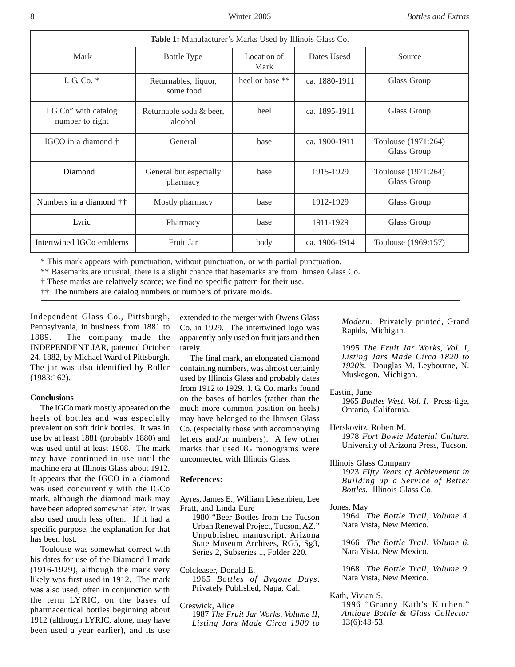| <b>Table 1:</b> Manufacturer's Marks Used by Illinois Glass Co. |                                    |                     |               |                                    |
|-----------------------------------------------------------------|------------------------------------|---------------------|---------------|------------------------------------|
| Mark                                                            | <b>Bottle Type</b>                 | Location of<br>Mark | Dates Usesd   | Source                             |
| I. G. Co. $*$                                                   | Returnables, liquor,<br>some food  | heel or base **     | ca. 1880-1911 | Glass Group                        |
| I G Co" with catalog<br>number to right                         | Returnable soda & beer,<br>alcohol | heel                | ca. 1895-1911 | Glass Group                        |
| IGCO in a diamond †                                             | General                            | base                | ca. 1900-1911 | Toulouse (1971:264)<br>Glass Group |
| Diamond I                                                       | General but especially<br>pharmacy | base                | 1915-1929     | Toulouse (1971:264)<br>Glass Group |
| Numbers in a diamond ††                                         | Mostly pharmacy                    | base                | 1912-1929     | Glass Group                        |
| Lyric                                                           | Pharmacy                           | base                | 1911-1929     | Glass Group                        |
| Intertwined IGCo emblems                                        | Fruit Jar                          | body                | ca. 1906-1914 | Toulouse (1969:157)                |

\* This mark appears with punctuation, without punctuation, or with partial punctuation.

\*\* Basemarks are unusual; there is a slight chance that basemarks are from Ihmsen Glass Co.

† These marks are relatively scarce; we find no specific pattern for their use.

†† The numbers are catalog numbers or numbers of private molds.

Independent Glass Co., Pittsburgh, Pennsylvania, in business from 1881 to 1889. The company made the INDEPENDENT JAR, patented October 24, 1882, by Michael Ward of Pittsburgh. The jar was also identified by Roller (1983:162).

## **Conclusions**

The IGCo mark mostly appeared on the heels of bottles and was especially prevalent on soft drink bottles. It was in use by at least 1881 (probably 1880) and was used until at least 1908. The mark may have continued in use until the machine era at Illinois Glass about 1912. It appears that the IGCO in a diamond was used concurrently with the IGCo mark, although the diamond mark may have been adopted somewhat later. It was also used much less often. If it had a specific purpose, the explanation for that has been lost.

Toulouse was somewhat correct with his dates for use of the Diamond I mark (1916-1929), although the mark very likely was first used in 1912. The mark was also used, often in conjunction with the term LYRIC, on the bases of pharmaceutical bottles beginning about 1912 (although LYRIC, alone, may have been used a year earlier), and its use

extended to the merger with Owens Glass Co. in 1929. The intertwined logo was apparently only used on fruit jars and then rarely.

The final mark, an elongated diamond containing numbers, was almost certainly used by Illinois Glass and probably dates from 1912 to 1929. I. G. Co. marks found on the bases of bottles (rather than the much more common position on heels) may have belonged to the Ihmsen Glass Co. (especially those with accompanying letters and/or numbers). A few other marks that used IG monograms were unconnected with Illinois Glass.

## **References:**

- Ayres, James E., William Liesenbien, Lee Fratt, and Linda Eure 1980 "Beer Bottles from the Tucson Urban Renewal Project, Tucson, AZ."
	- Unpublished manuscript, Arizona State Museum Archives, RG5, Sg3, Series 2, Subseries 1, Folder 220.

Colcleaser, Donald E. 1965 *Bottles of Bygone Days*. Privately Published, Napa, Cal.

Creswick, Alice

1987 *The Fruit Jar Works, Volume II, Listing Jars Made Circa 1900 to* *Modern*. Privately printed, Grand Rapids, Michigan.

1995 *The Fruit Jar Works, Vol. I, Listing Jars Made Circa 1820 to 1920's*. Douglas M. Leybourne, N. Muskegon, Michigan.

Eastin, June

1965 *Bottles West, Vol. I*. Press-tige, Ontario, California.

Herskovitz, Robert M. 1978 *Fort Bowie Material Culture*. University of Arizona Press, Tucson.

- Illinois Glass Company 1923 *Fifty Years of Achievement in Building up a Service of Better Bottles*. Illinois Glass Co.
- Jones, May

1964 *The Bottle Trail, Volume 4*. Nara Vista, New Mexico.

1966 *The Bottle Trail, Volume 6*. Nara Vista, New Mexico.

1968 *The Bottle Trail, Volume 9*. Nara Vista, New Mexico.

Kath, Vivian S.

1996 "Granny Kath's Kitchen." *Antique Bottle & Glass Collector* 13(6):48-53.